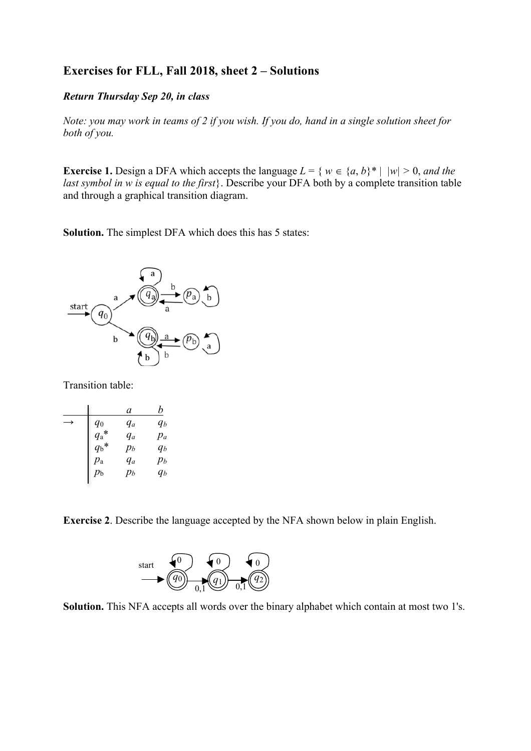## **Exercises for FLL, Fall 2018, sheet 2 – Solutions**

## *Return Thursday Sep 20, in class*

*Note: you may work in teams of 2 if you wish. If you do, hand in a single solution sheet for both of you.* 

**Exercise 1.** Design a DFA which accepts the language  $L = \{ w \in \{a, b\}^* | |w| > 0, \text{ and the } \}$ *last symbol in w is equal to the first*}. Describe your DFA both by a complete transition table and through a graphical transition diagram.

**Solution.** The simplest DFA which does this has 5 states:



Transition table:

|               | a     | b     |
|---------------|-------|-------|
| $q_0$         | $q_a$ | $q_b$ |
| $q_{\rm a}$ * | $q_a$ | $p_a$ |
| $q_{\rm b}$ * | $p_b$ | $q_b$ |
| $p_{\rm a}$   | $q_a$ | $p_b$ |
| $p_{\rm b}$   | $p_b$ | qь    |
|               |       |       |

**Exercise 2**. Describe the language accepted by the NFA shown below in plain English.



**Solution.** This NFA accepts all words over the binary alphabet which contain at most two 1's.